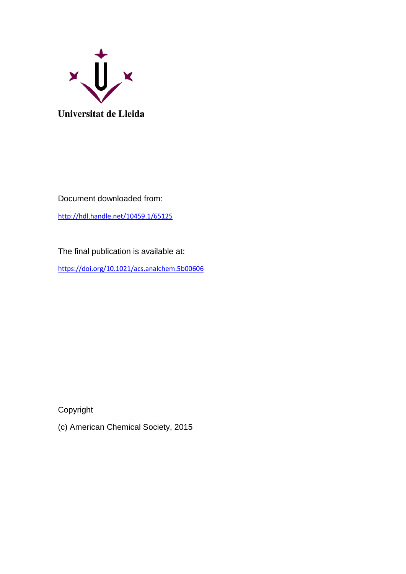

Document downloaded from:

<http://hdl.handle.net/10459.1/65125>

The final publication is available at:

<https://doi.org/10.1021/acs.analchem.5b00606>

Copyright

(c) American Chemical Society, 2015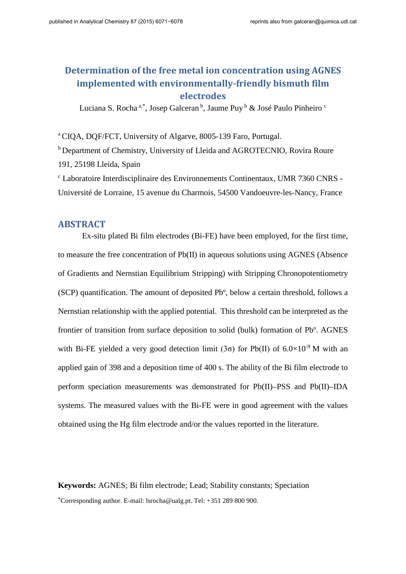# **Determination of the free metal ion concentration using AGNES implemented with environmentally-friendly bismuth film electrodes**

Luciana S. Rocha<sup>a,\*</sup>, Josep Galceran<sup>b</sup>, Jaume Puy  $\frac{b}{c}$  & José Paulo Pinheiro<sup>c</sup>

a CIQA, DQF/FCT, University of Algarve, 8005-139 Faro, Portugal.

b Department of Chemistry, University of Lleida and AGROTECNIO, Rovira Roure 191, 25198 Lleida, Spain

c Laboratoire Interdisciplinaire des Environnements Continentaux, UMR 7360 CNRS - Université de Lorraine, 15 avenue du Charmois, 54500 Vandoeuvre-les-Nancy, France

## **ABSTRACT**

Ex-situ plated Bi film electrodes (Bi-FE) have been employed, for the first time, to measure the free concentration of Pb(II) in aqueous solutions using AGNES (Absence of Gradients and Nernstian Equilibrium Stripping) with Stripping Chronopotentiometry (SCP) quantification. The amount of deposited Pbº, below a certain threshold, follows a Nernstian relationship with the applied potential. This threshold can be interpreted as the frontier of transition from surface deposition to solid (bulk) formation of Pbº. AGNES with Bi-FE yielded a very good detection limit (3 $\sigma$ ) for Pb(II) of 6.0×10<sup>-9</sup> M with an applied gain of 398 and a deposition time of 400 s. The ability of the Bi film electrode to perform speciation measurements was demonstrated for Pb(II)–PSS and Pb(II)–IDA systems. The measured values with the Bi-FE were in good agreement with the values obtained using the Hg film electrode and/or the values reported in the literature.

**Keywords:** AGNES; Bi film electrode; Lead; Stability constants; Speciation <sup>∗</sup>Corresponding author. E-mail: lsrocha@ualg.pt. Tel: +351 289 800 900.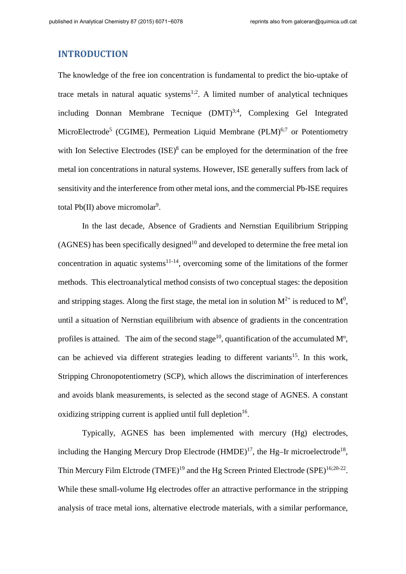## **INTRODUCTION**

The knowledge of the free ion concentration is fundamental to predict the bio-uptake of trace metals in natural aquatic systems<sup>1;2</sup>. A limited number of analytical techniques including Donnan Membrane Tecnique  $(DMT)^{3,4}$ , Complexing Gel Integrated MicroElectrode<sup>5</sup> (CGIME), Permeation Liquid Membrane (PLM)<sup>6;7</sup> or Potentiometry with Ion Selective Electrodes  $(ISE)^8$  can be employed for the determination of the free metal ion concentrations in natural systems. However, ISE generally suffers from lack of sensitivity and the interference from other metal ions, and the commercial Pb-ISE requires total  $Pb(II)$  above micromolar<sup>9</sup>.

In the last decade, Absence of Gradients and Nernstian Equilibrium Stripping  $(AGNES)$  has been specifically designed<sup>10</sup> and developed to determine the free metal ion concentration in aquatic systems<sup>11-14</sup>, overcoming some of the limitations of the former methods. This electroanalytical method consists of two conceptual stages: the deposition and stripping stages. Along the first stage, the metal ion in solution  $M^{2+}$  is reduced to  $M^0$ , until a situation of Nernstian equilibrium with absence of gradients in the concentration profiles is attained. The aim of the second stage<sup>10</sup>, quantification of the accumulated  $M^o$ , can be achieved via different strategies leading to different variants<sup>15</sup>. In this work, Stripping Chronopotentiometry (SCP), which allows the discrimination of interferences and avoids blank measurements, is selected as the second stage of AGNES. A constant oxidizing stripping current is applied until full depletion  $16$ .

Typically, AGNES has been implemented with mercury (Hg) electrodes, including the Hanging Mercury Drop Electrode  $(HMDE)^{17}$ , the Hg-Ir microelectrode<sup>18</sup>, Thin Mercury Film Elctrode  $(TMFE)^{19}$  and the Hg Screen Printed Electrode  $(SPE)^{16;20-22}$ . While these small-volume Hg electrodes offer an attractive performance in the stripping analysis of trace metal ions, alternative electrode materials, with a similar performance,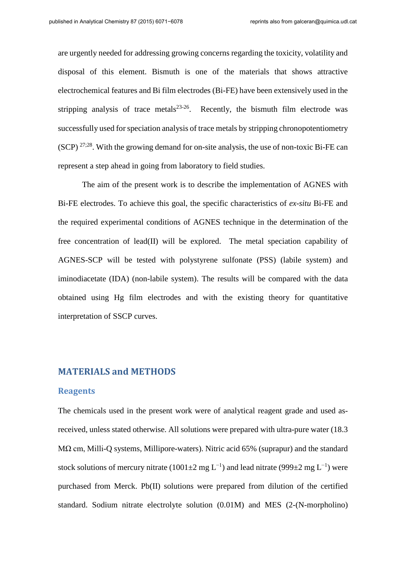are urgently needed for addressing growing concerns regarding the toxicity, volatility and disposal of this element. Bismuth is one of the materials that shows attractive electrochemical features and Bi film electrodes (Bi-FE) have been extensively used in the stripping analysis of trace metals $23-26$ . Recently, the bismuth film electrode was successfully used for speciation analysis of trace metals by stripping chronopotentiometry  $(SCP)$  <sup>27;28</sup>. With the growing demand for on-site analysis, the use of non-toxic Bi-FE can represent a step ahead in going from laboratory to field studies.

The aim of the present work is to describe the implementation of AGNES with Bi-FE electrodes. To achieve this goal, the specific characteristics of *ex-situ* Bi-FE and the required experimental conditions of AGNES technique in the determination of the free concentration of lead(II) will be explored. The metal speciation capability of AGNES-SCP will be tested with polystyrene sulfonate (PSS) (labile system) and iminodiacetate (IDA) (non-labile system). The results will be compared with the data obtained using Hg film electrodes and with the existing theory for quantitative interpretation of SSCP curves.

## **MATERIALS and METHODS**

#### **Reagents**

The chemicals used in the present work were of analytical reagent grade and used asreceived, unless stated otherwise. All solutions were prepared with ultra-pure water (18.3 MΩ cm, Milli-Q systems, Millipore-waters). Nitric acid 65% (suprapur) and the standard stock solutions of mercury nitrate (1001±2 mg L<sup>-1</sup>) and lead nitrate (999±2 mg L<sup>-1</sup>) were purchased from Merck. Pb(II) solutions were prepared from dilution of the certified standard. Sodium nitrate electrolyte solution (0.01M) and MES (2-(N-morpholino)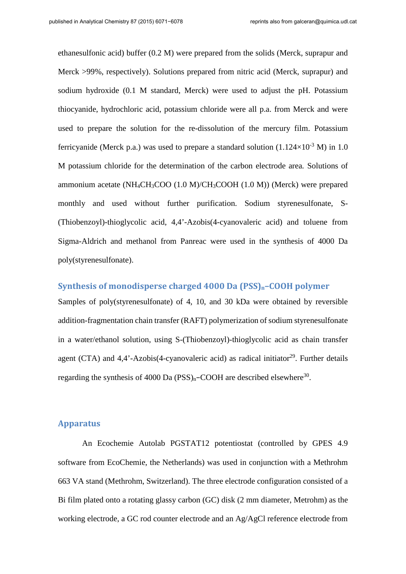ethanesulfonic acid) buffer (0.2 M) were prepared from the solids (Merck, suprapur and Merck >99%, respectively). Solutions prepared from nitric acid (Merck, suprapur) and sodium hydroxide (0.1 M standard, Merck) were used to adjust the pH. Potassium thiocyanide, hydrochloric acid, potassium chloride were all p.a. from Merck and were used to prepare the solution for the re-dissolution of the mercury film. Potassium ferricyanide (Merck p.a.) was used to prepare a standard solution  $(1.124\times10^{-3} \text{ M})$  in 1.0 M potassium chloride for the determination of the carbon electrode area*.* Solutions of ammonium acetate  $(NH_4CH_3COO (1.0 M)/CH_3COOH (1.0 M))$  (Merck) were prepared monthly and used without further purification. Sodium styrenesulfonate, S- (Thiobenzoyl)-thioglycolic acid, 4,4'-Azobis(4-cyanovaleric acid) and toluene from Sigma-Aldrich and methanol from Panreac were used in the synthesis of 4000 Da poly(styrenesulfonate).

## **Synthesis of monodisperse charged 4000 Da (PSS)n−COOH polymer**

Samples of poly(styrenesulfonate) of 4, 10, and 30 kDa were obtained by reversible addition-fragmentation chain transfer (RAFT) polymerization of sodium styrenesulfonate in a water/ethanol solution, using S-(Thiobenzoyl)-thioglycolic acid as chain transfer agent (CTA) and  $4.4'$ -Azobis(4-cyanovaleric acid) as radical initiator<sup>29</sup>. Further details regarding the synthesis of 4000 Da (PSS)<sub>n</sub>–COOH are described elsewhere<sup>30</sup>.

## **Apparatus**

An Ecochemie Autolab PGSTAT12 potentiostat (controlled by GPES 4.9 software from EcoChemie, the Netherlands) was used in conjunction with a Methrohm 663 VA stand (Methrohm, Switzerland). The three electrode configuration consisted of a Bi film plated onto a rotating glassy carbon (GC) disk (2 mm diameter, Metrohm) as the working electrode, a GC rod counter electrode and an Ag/AgCl reference electrode from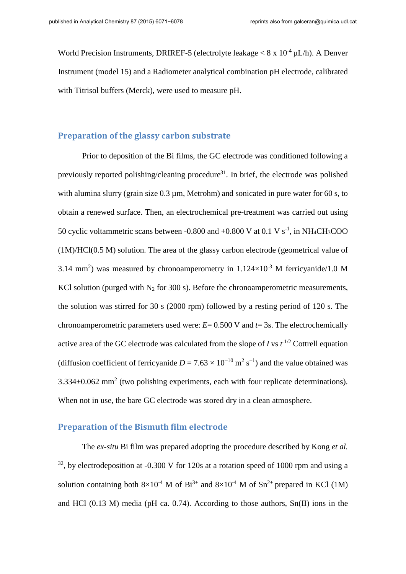World Precision Instruments, DRIREF-5 (electrolyte leakage  $< 8 \times 10^{-4} \mu L/h$ ). A Denver Instrument (model 15) and a Radiometer analytical combination pH electrode, calibrated with Titrisol buffers (Merck), were used to measure pH.

### **Preparation of the glassy carbon substrate**

Prior to deposition of the Bi films, the GC electrode was conditioned following a previously reported polishing/cleaning procedure<sup>31</sup>. In brief, the electrode was polished with alumina slurry (grain size  $0.3 \mu$ m, Metrohm) and sonicated in pure water for 60 s, to obtain a renewed surface. Then, an electrochemical pre-treatment was carried out using 50 cyclic voltammetric scans between -0.800 and  $+0.800$  V at 0.1 V s<sup>-1</sup>, in NH<sub>4</sub>CH<sub>3</sub>COO (1M)/HCl(0.5 M) solution. The area of the glassy carbon electrode (geometrical value of 3.14 mm<sup>2</sup>) was measured by chronoamperometry in  $1.124 \times 10^{-3}$  M ferricyanide/1.0 M KCl solution (purged with  $N_2$  for 300 s). Before the chronoamperometric measurements, the solution was stirred for 30 s (2000 rpm) followed by a resting period of 120 s. The chronoamperometric parameters used were:  $E = 0.500$  V and  $t = 3s$ . The electrochemically active area of the GC electrode was calculated from the slope of *I* vs  $t^{-1/2}$  Cottrell equation (diffusion coefficient of ferricyanide  $D = 7.63 \times 10^{-10}$  m<sup>2</sup> s<sup>-1</sup>) and the value obtained was  $3.334\pm0.062$  mm<sup>2</sup> (two polishing experiments, each with four replicate determinations). When not in use, the bare GC electrode was stored dry in a clean atmosphere.

#### **Preparation of the Bismuth film electrode**

The *ex-situ* Bi film was prepared adopting the procedure described by Kong *et al.*   $32$ , by electrodeposition at -0.300 V for 120s at a rotation speed of 1000 rpm and using a solution containing both  $8\times10^{-4}$  M of Bi<sup>3+</sup> and  $8\times10^{-4}$  M of Sn<sup>2+</sup> prepared in KCl (1M) and HCl (0.13 M) media (pH ca. 0.74). According to those authors, Sn(II) ions in the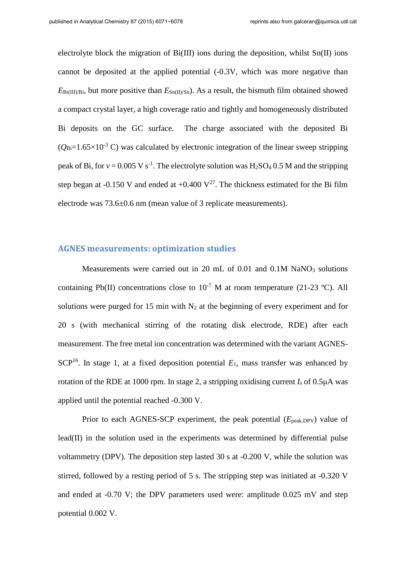electrolyte block the migration of Bi(III) ions during the deposition, whilst Sn(II) ions cannot be deposited at the applied potential (-0.3V, which was more negative than  $E_{\text{Bi(III)/Bi}}$ , but more positive than  $E_{\text{Sn(II)/Sn}}$ . As a result, the bismuth film obtained showed a compact crystal layer, a high coverage ratio and tightly and homogeneously distributed Bi deposits on the GC surface. The charge associated with the deposited Bi  $(O_{\text{Bi}}=1.65\times10^{-3} \text{ C})$  was calculated by electronic integration of the linear sweep stripping peak of Bi, for  $v = 0.005 \text{ V s}^{-1}$ . The electrolyte solution was  $H_2SO_4$  0.5 M and the stripping step began at -0.150 V and ended at  $+0.400 \text{ V}^{27}$ . The thickness estimated for the Bi film electrode was 73.6±0.6 nm (mean value of 3 replicate measurements).

## **AGNES measurements: optimization studies**

Measurements were carried out in 20 mL of  $0.01$  and  $0.1M$  NaNO<sub>3</sub> solutions containing Pb(II) concentrations close to  $10^{-7}$  M at room temperature (21-23 °C). All solutions were purged for 15 min with  $N_2$  at the beginning of every experiment and for 20 s (with mechanical stirring of the rotating disk electrode, RDE) after each measurement. The free metal ion concentration was determined with the variant AGNES-SCP<sup>16</sup>. In stage 1, at a fixed deposition potential  $E_1$ , mass transfer was enhanced by rotation of the RDE at 1000 rpm. In stage 2, a stripping oxidising current *I*<sup>s</sup> of 0.5μA was applied until the potential reached -0.300 V.

Prior to each AGNES-SCP experiment, the peak potential (*E*<sub>peak,DPV</sub>) value of lead(II) in the solution used in the experiments was determined by differential pulse voltammetry (DPV). The deposition step lasted 30 s at -0.200 V, while the solution was stirred, followed by a resting period of 5 s. The stripping step was initiated at -0.320 V and ended at -0.70 V; the DPV parameters used were: amplitude 0.025 mV and step potential 0.002 V.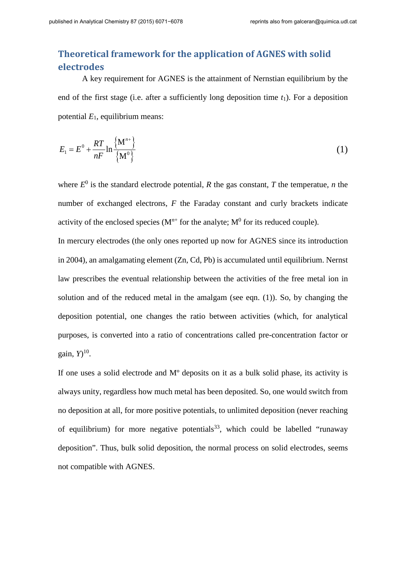## **Theoretical framework for the application of AGNES with solid electrodes**

 A key requirement for AGNES is the attainment of Nernstian equilibrium by the end of the first stage (i.e. after a sufficiently long deposition time *t*1). For a deposition potential  $E_1$ , equilibrium means:

$$
E_1 = E^0 + \frac{RT}{nF} \ln \frac{\left\{ \mathbf{M}^{n+} \right\}}{\left\{ \mathbf{M}^0 \right\}}
$$
 (1)

where  $E^0$  is the standard electrode potential, *R* the gas constant, *T* the temperatue, *n* the number of exchanged electrons, *F* the Faraday constant and curly brackets indicate activity of the enclosed species  $(M<sup>n+</sup>$  for the analyte;  $M<sup>0</sup>$  for its reduced couple).

In mercury electrodes (the only ones reported up now for AGNES since its introduction in 2004), an amalgamating element (Zn, Cd, Pb) is accumulated until equilibrium. Nernst law prescribes the eventual relationship between the activities of the free metal ion in solution and of the reduced metal in the amalgam (see eqn. (1)). So, by changing the deposition potential, one changes the ratio between activities (which, for analytical purposes, is converted into a ratio of concentrations called pre-concentration factor or gain, *Y*) 10.

If one uses a solid electrode and Mº deposits on it as a bulk solid phase, its activity is always unity, regardless how much metal has been deposited. So, one would switch from no deposition at all, for more positive potentials, to unlimited deposition (never reaching of equilibrium) for more negative potentials<sup>33</sup>, which could be labelled "runaway" deposition". Thus, bulk solid deposition, the normal process on solid electrodes, seems not compatible with AGNES.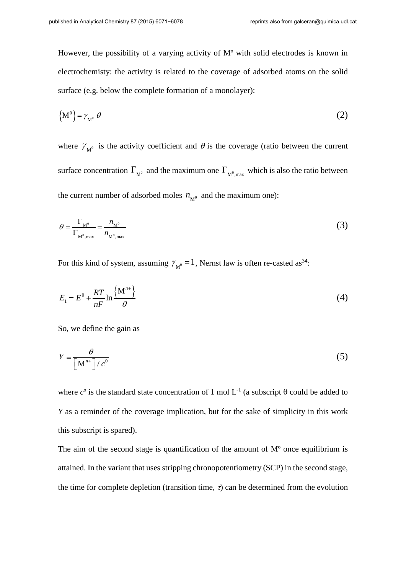However, the possibility of a varying activity of Mº with solid electrodes is known in electrochemisty: the activity is related to the coverage of adsorbed atoms on the solid surface (e.g. below the complete formation of a monolayer):

$$
\left\{ \mathbf{M}^{\mathbf{0}} \right\} = \gamma_{\mathbf{M}^{\mathbf{0}}} \; \boldsymbol{\theta} \tag{2}
$$

where  $\gamma_{M^0}$  is the activity coefficient and  $\theta$  is the coverage (ratio between the current surface concentration  $\Gamma_{M^0}$  and the maximum one  $\Gamma_{M^0, max}$  which is also the ratio between the current number of adsorbed moles  $n_{M^0}$  and the maximum one):

$$
\theta = \frac{\Gamma_{\mathbf{M}^0}}{\Gamma_{\mathbf{M}^0,\max}} = \frac{n_{\mathbf{M}^0}}{n_{\mathbf{M}^0,\max}}\tag{3}
$$

For this kind of system, assuming  $\gamma_{M^0} = 1$ , Nernst law is often re-casted as<sup>34</sup>:

$$
E_1 = E^0 + \frac{RT}{nF} \ln \frac{\left\{ \mathbf{M}^{n+} \right\}}{\theta} \tag{4}
$$

So, we define the gain as

$$
Y = \frac{\theta}{\left[M^{n+}\right]/c^0} \tag{5}
$$

where  $c^{\circ}$  is the standard state concentration of 1 mol  $L^{-1}$  (a subscript  $\theta$  could be added to *Y* as a reminder of the coverage implication, but for the sake of simplicity in this work this subscript is spared).

The aim of the second stage is quantification of the amount of  $M<sup>o</sup>$  once equilibrium is attained. In the variant that uses stripping chronopotentiometry (SCP) in the second stage, the time for complete depletion (transition time,  $\tau$ ) can be determined from the evolution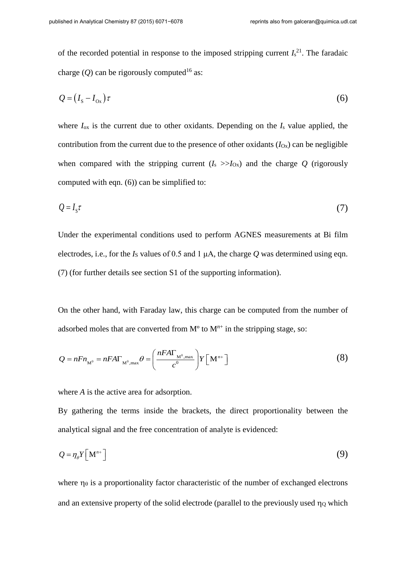of the recorded potential in response to the imposed stripping current  $I_s^{21}$ . The faradaic charge (*O*) can be rigorously computed<sup>16</sup> as:

$$
Q = (I_{\rm s} - I_{\rm ox})\tau\tag{6}
$$

where  $I_{\text{ox}}$  is the current due to other oxidants. Depending on the  $I_{\text{s}}$  value applied, the contribution from the current due to the presence of other oxidants  $(I_{\text{Ox}})$  can be negligible when compared with the stripping current  $(I_s \gg I_{0x})$  and the charge Q (rigorously computed with eqn. (6)) can be simplified to:

$$
Q = I_s \tau \tag{7}
$$

Under the experimental conditions used to perform AGNES measurements at Bi film electrodes, i.e., for the  $I<sub>S</sub>$  values of 0.5 and 1  $\mu$ A, the charge *Q* was determined using eqn. (7) (for further details see section S1 of the supporting information).

On the other hand, with Faraday law, this charge can be computed from the number of adsorbed moles that are converted from  $M^{\circ}$  to  $M^{n+}$  in the stripping stage, so:

$$
Q = nF n_{\text{M}^0} = nF A \Gamma_{\text{M}^0, \text{max}} \theta = \left(\frac{nF A \Gamma_{\text{M}^0, \text{max}}}{c^0}\right) Y \left[\text{M}^{n+}\right]
$$
(8)

where *A* is the active area for adsorption.

By gathering the terms inside the brackets, the direct proportionality between the analytical signal and the free concentration of analyte is evidenced:

$$
Q = \eta_{\theta} Y \left[ \mathbf{M}^{n+} \right] \tag{9}
$$

where  $\eta_{\theta}$  is a proportionality factor characteristic of the number of exchanged electrons and an extensive property of the solid electrode (parallel to the previously used  $\eta_0$  which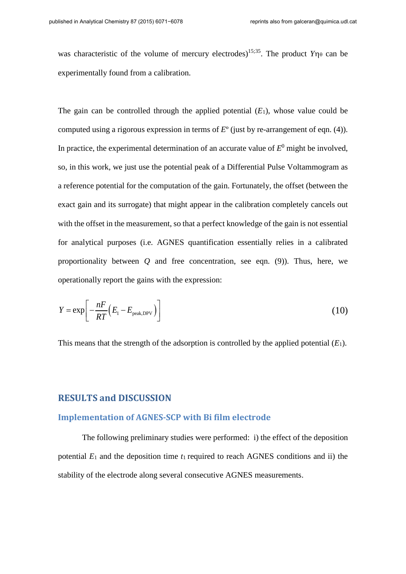was characteristic of the volume of mercury electrodes)<sup>15;35</sup>. The product  $Y\eta_{\theta}$  can be experimentally found from a calibration.

The gain can be controlled through the applied potential  $(E_1)$ , whose value could be computed using a rigorous expression in terms of *E*º (just by re-arrangement of eqn. (4)). In practice, the experimental determination of an accurate value of  $E^0$  might be involved, so, in this work, we just use the potential peak of a Differential Pulse Voltammogram as a reference potential for the computation of the gain. Fortunately, the offset (between the exact gain and its surrogate) that might appear in the calibration completely cancels out with the offset in the measurement, so that a perfect knowledge of the gain is not essential for analytical purposes (i.e. AGNES quantification essentially relies in a calibrated proportionality between *Q* and free concentration, see eqn. (9)). Thus, here, we operationally report the gains with the expression:

<span id="page-10-0"></span>
$$
Y = \exp\left[-\frac{nF}{RT}\left(E_1 - E_{\text{peak,DPV}}\right)\right]
$$
\n(10)

This means that the strength of the adsorption is controlled by the applied potential  $(E_1)$ .

## **RESULTS and DISCUSSION**

## **Implementation of AGNES-SCP with Bi film electrode**

The following preliminary studies were performed: i) the effect of the deposition potential  $E_1$  and the deposition time  $t_1$  required to reach AGNES conditions and ii) the stability of the electrode along several consecutive AGNES measurements.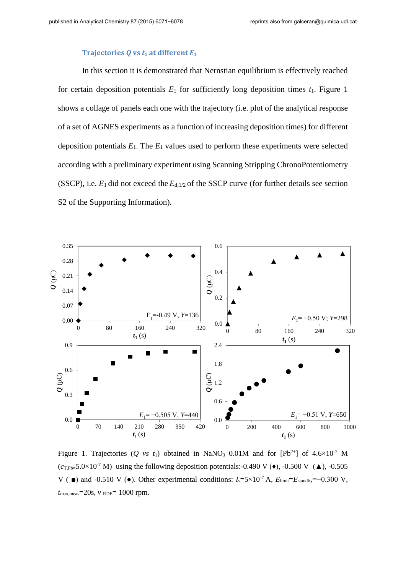#### **Trajectories Q vs**  $t_1$  **at different**  $E_1$

In this section it is demonstrated that Nernstian equilibrium is effectively reached for certain deposition potentials  $E_1$  for sufficiently long deposition times  $t_1$ . Figure 1 shows a collage of panels each one with the trajectory (i.e. plot of the analytical response of a set of AGNES experiments as a function of increasing deposition times) for different deposition potentials  $E_1$ . The  $E_1$  values used to perform these experiments were selected according with a preliminary experiment using Scanning Stripping ChronoPotentiometry (SSCP), i.e. *E*1 did not exceed the *E*d,1/2 of the SSCP curve (for further details see section S2 of the Supporting Information).



Figure 1. Trajectories (*Q vs t*<sub>1</sub>) obtained in NaNO<sub>3</sub> 0.01M and for [Pb<sup>2+</sup>] of  $4.6 \times 10^{-7}$  M  $(c_{\text{T.Pb=}} 5.0 \times 10^{-7} \text{ M})$  using the following deposition potentials:-0.490 V ( $\bullet$ ), -0.500 V ( $\blacktriangle$ ), -0.505 V ( $\blacksquare$ ) and -0.510 V ( $\blacksquare$ ). Other experimental conditions: *I<sub>s</sub>*=5×10<sup>-7</sup> A, *E*<sub>limit</sub>=*E*<sub>standby</sub>=−0.300 V,  $t_{\text{max,meas}} = 20$ s,  $v_{\text{RDE}} = 1000$  rpm.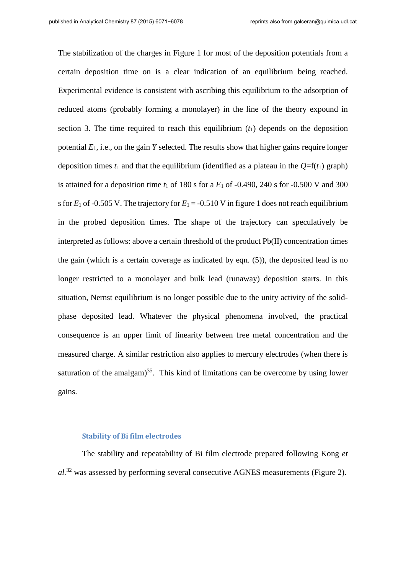The stabilization of the charges in Figure 1 for most of the deposition potentials from a certain deposition time on is a clear indication of an equilibrium being reached. Experimental evidence is consistent with ascribing this equilibrium to the adsorption of reduced atoms (probably forming a monolayer) in the line of the theory expound in section 3. The time required to reach this equilibrium  $(t_1)$  depends on the deposition potential *E*1, i.e., on the gain *Y* selected. The results show that higher gains require longer deposition times  $t_1$  and that the equilibrium (identified as a plateau in the  $Q=f(t_1)$  graph) is attained for a deposition time  $t_1$  of 180 s for a  $E_1$  of -0.490, 240 s for -0.500 V and 300 s for  $E_1$  of -0.505 V. The trajectory for  $E_1 = -0.510$  V in figure 1 does not reach equilibrium in the probed deposition times. The shape of the trajectory can speculatively be interpreted as follows: above a certain threshold of the product Pb(II) concentration times the gain (which is a certain coverage as indicated by eqn. (5)), the deposited lead is no longer restricted to a monolayer and bulk lead (runaway) deposition starts. In this situation, Nernst equilibrium is no longer possible due to the unity activity of the solidphase deposited lead. Whatever the physical phenomena involved, the practical consequence is an upper limit of linearity between free metal concentration and the measured charge. A similar restriction also applies to mercury electrodes (when there is saturation of the amalgam $)^{35}$ . This kind of limitations can be overcome by using lower gains.

#### **Stability of Bi film electrodes**

The stability and repeatability of Bi film electrode prepared following Kong *et al.*<sup>32</sup> was assessed by performing several consecutive AGNES measurements (Figure 2).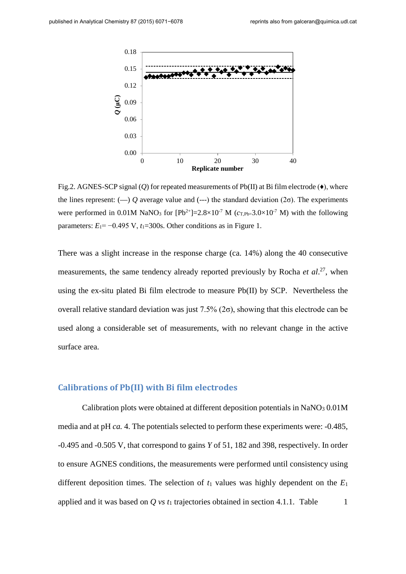

Fig.2. AGNES-SCP signal  $(Q)$  for repeated measurements of Pb(II) at Bi film electrode  $(\bullet)$ , where the lines represent:  $(-)$  *Q* average value and  $(-)$  the standard deviation  $(2\sigma)$ . The experiments were performed in 0.01M NaNO<sub>3</sub> for  $[{\rm Pb}^{2+}]=2.8\times10^{-7}$  M ( $c_{\rm T, Ph=3.0}\times10^{-7}$  M) with the following parameters:  $E_1 = -0.495$  V,  $t_1 = 300$ s. Other conditions as in Figure 1.

There was a slight increase in the response charge (ca. 14%) along the 40 consecutive measurements, the same tendency already reported previously by Rocha *et al*. 27, when using the ex-situ plated Bi film electrode to measure Pb(II) by SCP. Nevertheless the overall relative standard deviation was just  $7.5\%$  ( $2\sigma$ ), showing that this electrode can be used along a considerable set of measurements, with no relevant change in the active surface area.

## **Calibrations of Pb(II) with Bi film electrodes**

Calibration plots were obtained at different deposition potentials in  $NaNO<sub>3</sub> 0.01M$ media and at pH *ca.* 4. The potentials selected to perform these experiments were: -0.485, -0.495 and -0.505 V, that correspond to gains *Y* of 51, 182 and 398, respectively. In order to ensure AGNES conditions, the measurements were performed until consistency using different deposition times. The selection of  $t_1$  values was highly dependent on the  $E_1$ applied and it was based on  $Q$  *vs*  $t_1$  trajectories obtained in section 4.1.1. Table  $1$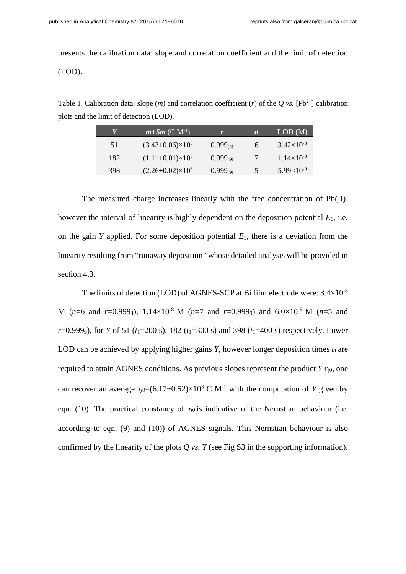presents the calibration data: slope and correlation coefficient and the limit of detection (LOD).

Table 1. Calibration data: slope  $(m)$  and correlation coefficient  $(r)$  of the *Q vs.* [Pb<sup>2+</sup>] calibration plots and the limit of detection (LOD).

| Y   | $m\pm Sm(C M^{-1})$           |               | $\boldsymbol{n}$ | LOD(M)              |
|-----|-------------------------------|---------------|------------------|---------------------|
| 51  | $(3.43\pm0.06)\times10^5$     | $0.999_{(4)}$ | h                | $3.42\times10^{-8}$ |
| 182 | $(1.11\pm0.01)\times10^{6}$   | $0.999_{(9)}$ |                  | $1.14\times10^{-8}$ |
| 398 | $(2.26 \pm 0.02) \times 10^6$ | $0.999_{(9)}$ | 5                | $5.99\times10^{-9}$ |

The measured charge increases linearly with the free concentration of Pb(II), however the interval of linearity is highly dependent on the deposition potential *E*1, i.e. on the gain *Y* applied. For some deposition potential *E*1, there is a deviation from the linearity resulting from "runaway deposition" whose detailed analysis will be provided in section 4.3.

The limits of detection (LOD) of AGNES-SCP at Bi film electrode were:  $3.4\times10^{-8}$ M ( $n=6$  and  $r=0.9994$ ),  $1.14\times10^{-8}$  M ( $n=7$  and  $r=0.9999$ ) and  $6.0\times10^{-9}$  M ( $n=5$  and *r*=0.9999), for *Y* of 51 (*t*1=200 s), 182 (*t*1=300 s) and 398 (*t*1=400 s) respectively. Lower LOD can be achieved by applying higher gains  $Y$ , however longer deposition times  $t_1$  are required to attain AGNES conditions. As previous slopes represent the product  $Y \eta_{\theta}$ , one can recover an average  $\eta_{\theta} = (6.17 \pm 0.52) \times 10^3$  C M<sup>-1</sup> with the computation of *Y* given by equal [\(10\).](#page-10-0) The practical constancy of  $m<sub>0</sub>$  is indicative of the Nernstian behaviour (i.e. according to eqn. (9) and (10)) of AGNES signals. This Nernstian behaviour is also confirmed by the linearity of the plots  $Q$  *vs.*  $Y$  (see Fig S3 in the supporting information).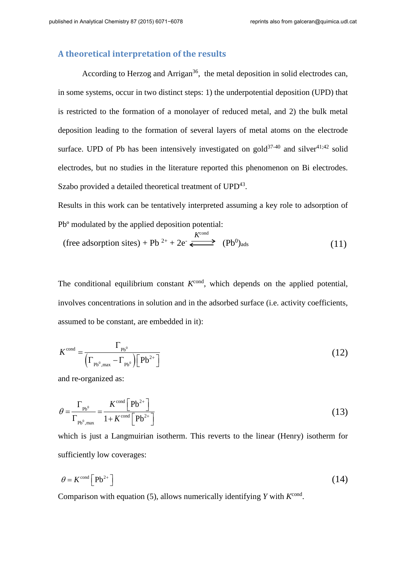## **A theoretical interpretation of the results**

According to Herzog and Arrigan<sup>36</sup>, the metal deposition in solid electrodes can, in some systems, occur in two distinct steps: 1) the underpotential deposition (UPD) that is restricted to the formation of a monolayer of reduced metal, and 2) the bulk metal deposition leading to the formation of several layers of metal atoms on the electrode surface. UPD of Pb has been intensively investigated on gold<sup>37-40</sup> and silver<sup>41;42</sup> solid electrodes, but no studies in the literature reported this phenomenon on Bi electrodes. Szabo provided a detailed theoretical treatment of UPD<sup>43</sup>.

Results in this work can be tentatively interpreted assuming a key role to adsorption of Pbº modulated by the applied deposition potential:

$$
\text{(free adsorption sites)} + Pb^{2+} + 2e^{\cdot} \stackrel{K^{\text{cond}}}{\Longleftrightarrow} (Pb^0)_{\text{ads}} \tag{11}
$$

The conditional equilibrium constant  $K^{\text{cond}}$ , which depends on the applied potential, involves concentrations in solution and in the adsorbed surface (i.e. activity coefficients, assumed to be constant, are embedded in it):

$$
K^{\text{cond}} = \frac{\Gamma_{\text{pb}^0}}{\left(\Gamma_{\text{pb}^0,\text{max}} - \Gamma_{\text{pb}^0}\right)\left[\text{Pb}^{2+}\right]}
$$
(12)

and re-organized as:

$$
\theta = \frac{\Gamma_{\text{Pb}^0}}{\Gamma_{\text{Pb}^0,\text{max}}} = \frac{K^{\text{cond}}\left[\text{Pb}^{2+}\right]}{1 + K^{\text{cond}}\left[\text{Pb}^{2+}\right]}
$$
(13)

which is just a Langmuirian isotherm. This reverts to the linear (Henry) isotherm for sufficiently low coverages:

$$
\theta = K^{\text{cond}} \left[ \text{Pb}^{2+} \right] \tag{14}
$$

Comparison with equation (5), allows numerically identifying  $Y$  with  $K<sup>cond</sup>$ .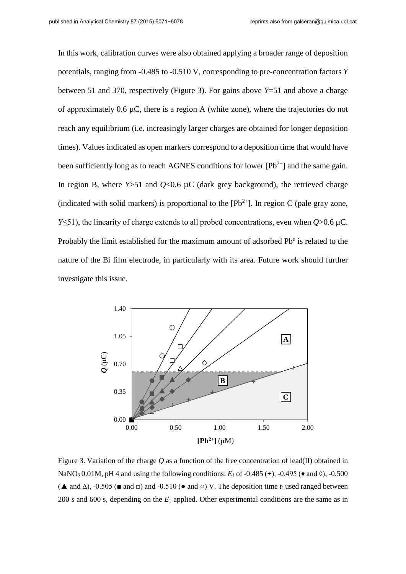In this work, calibration curves were also obtained applying a broader range of deposition potentials, ranging from -0.485 to -0.510 V, corresponding to pre-concentration factors *Y* between 51 and 370, respectively (Figure 3). For gains above *Y*=51 and above a charge of approximately  $0.6 \mu C$ , there is a region A (white zone), where the trajectories do not reach any equilibrium (i.e. increasingly larger charges are obtained for longer deposition times). Values indicated as open markers correspond to a deposition time that would have been sufficiently long as to reach AGNES conditions for lower  $[Pb^{2+}]$  and the same gain. In region B, where  $Y > 51$  and  $Q < 0.6 \mu C$  (dark grey background), the retrieved charge (indicated with solid markers) is proportional to the  $[Pb^{2+}]$ . In region C (pale gray zone, *Y*≤51), the linearity of charge extends to all probed concentrations, even when *Q*>0.6 µC. Probably the limit established for the maximum amount of adsorbed Pbº is related to the nature of the Bi film electrode, in particularly with its area. Future work should further investigate this issue.



Figure 3. Variation of the charge *Q* as a function of the free concentration of lead(II) obtained in NaNO<sub>3</sub> 0.01M, pH 4 and using the following conditions:  $E_1$  of -0.485 (+), -0.495 ( $\bullet$  and  $\lozenge$ ), -0.500 ( $\blacktriangle$  and  $\triangle$ ), -0.505 ( $\blacktriangle$  and  $\Box$ ) and -0.510 ( $\blacktriangle$  and  $\circ$ ) V. The deposition time  $t_1$  used ranged between 200 s and 600 s, depending on the *E*<sup>1</sup> applied. Other experimental conditions are the same as in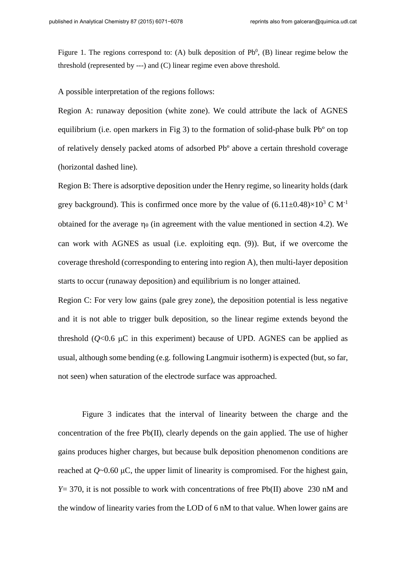Figure 1. The regions correspond to: (A) bulk deposition of  $Pb^0$ , (B) linear regime below the threshold (represented by ---) and (C) linear regime even above threshold.

A possible interpretation of the regions follows:

Region A: runaway deposition (white zone). We could attribute the lack of AGNES equilibrium (i.e. open markers in Fig 3) to the formation of solid-phase bulk Pb<sup>o</sup> on top of relatively densely packed atoms of adsorbed Pbº above a certain threshold coverage (horizontal dashed line).

Region B: There is adsorptive deposition under the Henry regime, so linearity holds (dark grey background). This is confirmed once more by the value of  $(6.11\pm0.48)\times10^3$  C M<sup>-1</sup> obtained for the average  $\eta_{\theta}$  (in agreement with the value mentioned in section 4.2). We can work with AGNES as usual (i.e. exploiting eqn. (9)). But, if we overcome the coverage threshold (corresponding to entering into region A), then multi-layer deposition starts to occur (runaway deposition) and equilibrium is no longer attained.

Region C: For very low gains (pale grey zone), the deposition potential is less negative and it is not able to trigger bulk deposition, so the linear regime extends beyond the threshold  $(Q<0.6 \mu C)$  in this experiment) because of UPD. AGNES can be applied as usual, although some bending (e.g. following Langmuir isotherm) is expected (but, so far, not seen) when saturation of the electrode surface was approached.

Figure 3 indicates that the interval of linearity between the charge and the concentration of the free Pb(II), clearly depends on the gain applied. The use of higher gains produces higher charges, but because bulk deposition phenomenon conditions are reached at *Q*~0.60 μC, the upper limit of linearity is compromised. For the highest gain, *Y*= 370, it is not possible to work with concentrations of free Pb(II) above 230 nM and the window of linearity varies from the LOD of 6 nM to that value. When lower gains are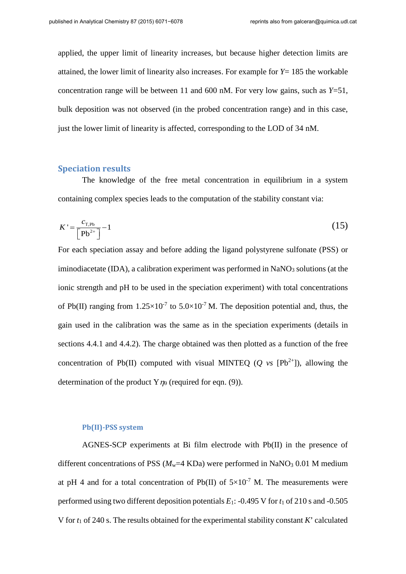applied, the upper limit of linearity increases, but because higher detection limits are attained, the lower limit of linearity also increases. For example for *Y*= 185 the workable concentration range will be between 11 and 600 nM. For very low gains, such as *Y*=51, bulk deposition was not observed (in the probed concentration range) and in this case, just the lower limit of linearity is affected, corresponding to the LOD of 34 nM.

#### **Speciation results**

The knowledge of the free metal concentration in equilibrium in a system containing complex species leads to the computation of the stability constant via:

$$
K' = \frac{c_{\text{T},\text{Pb}}}{\left[\text{Pb}^{2+}\right]} - 1\tag{15}
$$

For each speciation assay and before adding the ligand polystyrene sulfonate (PSS) or iminodiacetate (IDA), a calibration experiment was performed in NaNO<sub>3</sub> solutions (at the ionic strength and pH to be used in the speciation experiment) with total concentrations of Pb(II) ranging from  $1.25 \times 10^{-7}$  to  $5.0 \times 10^{-7}$  M. The deposition potential and, thus, the gain used in the calibration was the same as in the speciation experiments (details in sections 4.4.1 and 4.4.2). The charge obtained was then plotted as a function of the free concentration of Pb(II) computed with visual MINTEQ ( $Q$  vs  $[Pb^{2+}]$ ), allowing the determination of the product  $Y_{\eta\theta}$  (required for eqn. (9)).

#### **Pb(II)-PSS system**

AGNES-SCP experiments at Bi film electrode with Pb(II) in the presence of different concentrations of PSS  $(M_w=4 \text{ KDa})$  were performed in NaNO<sub>3</sub> 0.01 M medium at pH 4 and for a total concentration of Pb(II) of  $5\times10^{-7}$  M. The measurements were performed using two different deposition potentials *E*1: -0.495 V for *t*<sup>1</sup> of 210 s and -0.505 V for *t*<sup>1</sup> of 240 s. The results obtained for the experimental stability constant *K*' calculated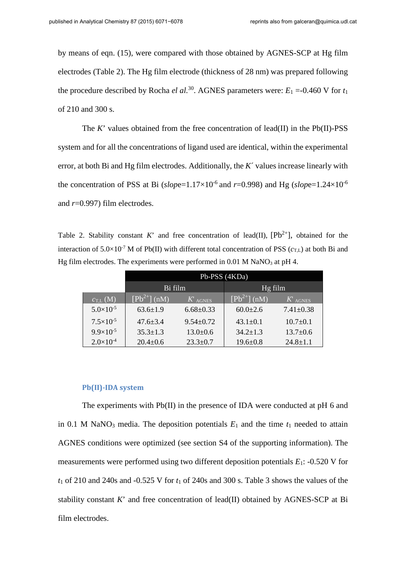by means of eqn. (15), were compared with those obtained by AGNES-SCP at Hg film electrodes (Table 2). The Hg film electrode (thickness of 28 nm) was prepared following the procedure described by Rocha *el al.*<sup>30</sup>. AGNES parameters were:  $E_1 = -0.460$  V for  $t_1$ of 210 and 300 s.

The  $K'$  values obtained from the free concentration of lead(II) in the Pb(II)-PSS system and for all the concentrations of ligand used are identical, within the experimental error, at both Bi and Hg film electrodes. Additionally, the *K*´ values increase linearly with the concentration of PSS at Bi ( $slope=1.17\times10^{-6}$  and  $r=0.998$ ) and Hg ( $slope=1.24\times10^{-6}$ ) and *r*=0.997) film electrodes.

Table 2. Stability constant *K*' and free concentration of lead(II),  $[Pb^{2+}]$ , obtained for the interaction of 5.0×10<sup>-7</sup> M of Pb(II) with different total concentration of PSS ( $c_{\text{TL}}$ ) at both Bi and Hg film electrodes. The experiments were performed in  $0.01$  M NaNO<sub>3</sub> at pH 4.

|                      | Pb-PSS $\overline{(4KDa)}$ |                 |                            |                 |  |
|----------------------|----------------------------|-----------------|----------------------------|-----------------|--|
|                      | Bi film                    |                 | Hg film                    |                 |  |
| $c_{T,L}$ (M)        | $[Pb^{2+}]$ (nM)           | $K$ AGNES       | $[Pb^{2+}]\overline{(nM)}$ | $K$ agnes       |  |
| $5.0\times10^{-5}$   | $63.6 \pm 1.9$             | $6.68 \pm 0.33$ | $60.0 \pm 2.6$             | $7.41 \pm 0.38$ |  |
| $7.5 \times 10^{-5}$ | $47.6 \pm 3.4$             | $9.54 \pm 0.72$ | $43.1 \pm 0.1$             | $10.7 \pm 0.1$  |  |
| $9.9\times10^{-5}$   | $35.3 \pm 1.3$             | $13.0 \pm 0.6$  | $34.2 \pm 1.3$             | $13.7 \pm 0.6$  |  |
| $2.0\times10^{-4}$   | $20.4 \pm 0.6$             | $23.3 \pm 0.7$  | $19.6 \pm 0.8$             | $24.8 \pm 1.1$  |  |

#### **Pb(II)-IDA system**

The experiments with Pb(II) in the presence of IDA were conducted at pH 6 and in 0.1 M NaNO<sub>3</sub> media. The deposition potentials  $E_1$  and the time  $t_1$  needed to attain AGNES conditions were optimized (see section S4 of the supporting information). The measurements were performed using two different deposition potentials *E*1: -0.520 V for *t*1 of 210 and 240s and -0.525 V for *t*1 of 240s and 300 s. Table 3 shows the values of the stability constant  $K'$  and free concentration of lead(II) obtained by AGNES-SCP at Bi film electrodes.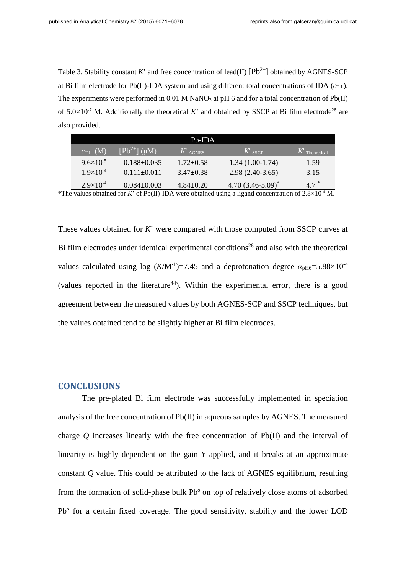Table 3. Stability constant *K*' and free concentration of lead(II)  $[Pb^{2+}]$  obtained by AGNES-SCP at Bi film electrode for Pb(II)-IDA system and using different total concentrations of IDA  $(c_{T,L})$ . The experiments were performed in  $0.01$  M NaNO<sub>3</sub> at pH 6 and for a total concentration of Pb(II) of  $5.0 \times 10^{-7}$  M. Additionally the theoretical *K*' and obtained by SSCP at Bi film electrode<sup>28</sup> are also provided.

| $Pb$ -IDA            |                   |                 |                        |                            |  |  |
|----------------------|-------------------|-----------------|------------------------|----------------------------|--|--|
| $c_{\text{L}}$ (M)   | $[Pb^{2+}]$ (uM)  | $K$ AGNES       | $K$ sscp               | $K$ <sup>Theoretical</sup> |  |  |
| $9.6 \times 10^{-5}$ | $0.188 \pm 0.035$ | $1.72 \pm 0.58$ | $1.34(1.00-1.74)$      | 1.59                       |  |  |
| $1.9\times10^{-4}$   | $0.111 \pm 0.011$ | $3.47 \pm 0.38$ | $2.98(2.40-3.65)$      | 3.15                       |  |  |
| $2.9\times10^{-4}$   | $0.084 \pm 0.003$ | $4.84 \pm 0.20$ | 4.70 $(3.46 - 5.09)^*$ | $4.7^*$                    |  |  |

\*The values obtained for *K*' of Pb(II)-IDA were obtained using a ligand concentration of  $2.8 \times 10^{-4}$  M.

These values obtained for *K*' were compared with those computed from SSCP curves at Bi film electrodes under identical experimental conditions<sup>28</sup> and also with the theoretical values calculated using log  $(K/M^{-1})$ =7.45 and a deprotonation degree  $\alpha_{\text{pH6}}$ =5.88×10<sup>-4</sup> (values reported in the literature<sup>44</sup>). Within the experimental error, there is a good agreement between the measured values by both AGNES-SCP and SSCP techniques, but the values obtained tend to be slightly higher at Bi film electrodes.

## **CONCLUSIONS**

The pre-plated Bi film electrode was successfully implemented in speciation analysis of the free concentration of Pb(II) in aqueous samples by AGNES. The measured charge *Q* increases linearly with the free concentration of Pb(II) and the interval of linearity is highly dependent on the gain *Y* applied, and it breaks at an approximate constant *Q* value. This could be attributed to the lack of AGNES equilibrium, resulting from the formation of solid-phase bulk Pbº on top of relatively close atoms of adsorbed Pbº for a certain fixed coverage. The good sensitivity, stability and the lower LOD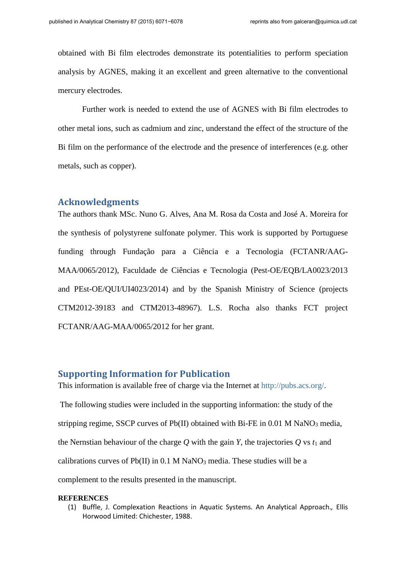obtained with Bi film electrodes demonstrate its potentialities to perform speciation analysis by AGNES, making it an excellent and green alternative to the conventional mercury electrodes.

 Further work is needed to extend the use of AGNES with Bi film electrodes to other metal ions, such as cadmium and zinc, understand the effect of the structure of the Bi film on the performance of the electrode and the presence of interferences (e.g. other metals, such as copper).

#### **Acknowledgments**

The authors thank MSc. Nuno G. Alves, Ana M. Rosa da Costa and José A. Moreira for the synthesis of polystyrene sulfonate polymer. This work is supported by Portuguese funding through Fundação para a Ciência e a Tecnologia (FCTANR/AAG-MAA/0065/2012), Faculdade de Ciências e Tecnologia (Pest-OE/EQB/LA0023/2013 and PEst-OE/QUI/UI4023/2014) and by the Spanish Ministry of Science (projects CTM2012-39183 and CTM2013-48967). L.S. Rocha also thanks FCT project FCTANR/AAG-MAA/0065/2012 for her grant.

## **Supporting Information for Publication**

This information is available free of charge via the Internet at [http://pubs.acs.org/.](http://pubs.acs.org/) The following studies were included in the supporting information: the study of the stripping regime, SSCP curves of  $Pb(II)$  obtained with Bi-FE in 0.01 M NaNO<sub>3</sub> media, the Nernstian behaviour of the charge  $Q$  with the gain  $Y$ , the trajectories  $Q$  vs  $t_1$  and calibrations curves of Pb(II) in 0.1 M NaNO<sub>3</sub> media. These studies will be a complement to the results presented in the manuscript.

#### **REFERENCES**

(1) Buffle, J. Complexation Reactions in Aquatic Systems. An Analytical Approach.*,* Ellis Horwood Limited: Chichester, 1988.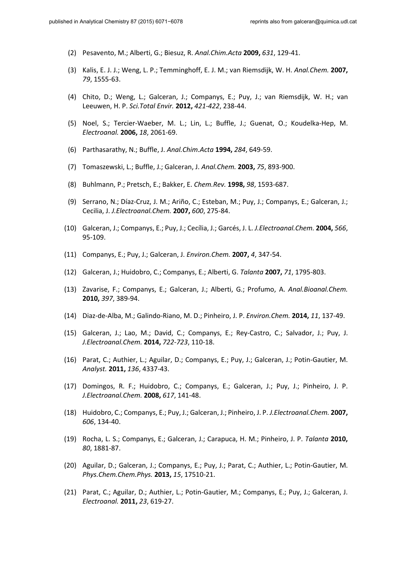- (2) Pesavento, M.; Alberti, G.; Biesuz, R. *Anal.Chim.Acta* **2009,** *631*, 129-41.
- (3) Kalis, E. J. J.; Weng, L. P.; Temminghoff, E. J. M.; van Riemsdijk, W. H. *Anal.Chem.* **2007,** *79*, 1555-63.
- (4) Chito, D.; Weng, L.; Galceran, J.; Companys, E.; Puy, J.; van Riemsdijk, W. H.; van Leeuwen, H. P. *Sci.Total Envir.* **2012,** *421-422*, 238-44.
- (5) Noel, S.; Tercier-Waeber, M. L.; Lin, L.; Buffle, J.; Guenat, O.; Koudelka-Hep, M. *Electroanal.* **2006,** *18*, 2061-69.
- (6) Parthasarathy, N.; Buffle, J. *Anal.Chim.Acta* **1994,** *284*, 649-59.
- (7) Tomaszewski, L.; Buffle, J.; Galceran, J. *Anal.Chem.* **2003,** *75*, 893-900.
- (8) Buhlmann, P.; Pretsch, E.; Bakker, E. *Chem.Rev.* **1998,** *98*, 1593-687.
- (9) Serrano, N.; Díaz-Cruz, J. M.; Ariño, C.; Esteban, M.; Puy, J.; Companys, E.; Galceran, J.; Cecilia, J. *J.Electroanal.Chem.* **2007,** *600*, 275-84.
- (10) Galceran, J.; Companys, E.; Puy, J.; Cecília, J.; Garcés, J. L. *J.Electroanal.Chem.* **2004,** *566*, 95-109.
- (11) Companys, E.; Puy, J.; Galceran, J. *Environ.Chem.* **2007,** *4*, 347-54.
- (12) Galceran, J.; Huidobro, C.; Companys, E.; Alberti, G. *Talanta* **2007,** *71*, 1795-803.
- (13) Zavarise, F.; Companys, E.; Galceran, J.; Alberti, G.; Profumo, A. *Anal.Bioanal.Chem.* **2010,** *397*, 389-94.
- (14) Diaz-de-Alba, M.; Galindo-Riano, M. D.; Pinheiro, J. P. *Environ.Chem.* **2014,** *11*, 137-49.
- (15) Galceran, J.; Lao, M.; David, C.; Companys, E.; Rey-Castro, C.; Salvador, J.; Puy, J. *J.Electroanal.Chem.* **2014,** *722-723*, 110-18.
- (16) Parat, C.; Authier, L.; Aguilar, D.; Companys, E.; Puy, J.; Galceran, J.; Potin-Gautier, M. *Analyst.* **2011,** *136*, 4337-43.
- (17) Domingos, R. F.; Huidobro, C.; Companys, E.; Galceran, J.; Puy, J.; Pinheiro, J. P. *J.Electroanal.Chem.* **2008,** *617*, 141-48.
- (18) Huidobro, C.; Companys, E.; Puy, J.; Galceran, J.; Pinheiro, J. P. *J.Electroanal.Chem.* **2007,** *606*, 134-40.
- (19) Rocha, L. S.; Companys, E.; Galceran, J.; Carapuca, H. M.; Pinheiro, J. P. *Talanta* **2010,** *80*, 1881-87.
- (20) Aguilar, D.; Galceran, J.; Companys, E.; Puy, J.; Parat, C.; Authier, L.; Potin-Gautier, M. *Phys.Chem.Chem.Phys.* **2013,** *15*, 17510-21.
- (21) Parat, C.; Aguilar, D.; Authier, L.; Potin-Gautier, M.; Companys, E.; Puy, J.; Galceran, J. *Electroanal.* **2011,** *23*, 619-27.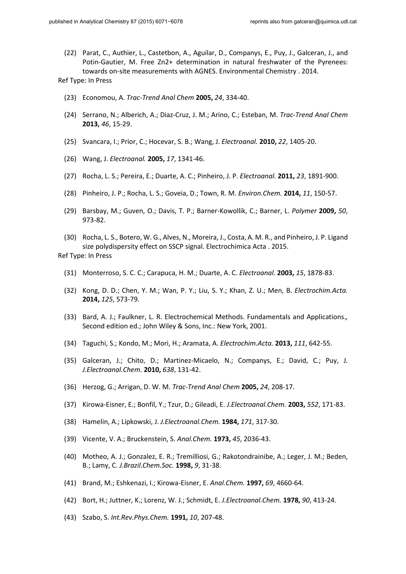(22) Parat, C., Authier, L., Castetbon, A., Aguilar, D., Companys, E., Puy, J., Galceran, J., and Potin-Gautier, M. Free Zn2+ determination in natural freshwater of the Pyrenees: towards on-site measurements with AGNES. Environmental Chemistry . 2014.

Ref Type: In Press

- (23) Economou, A. *Trac-Trend Anal Chem* **2005,** *24*, 334-40.
- (24) Serrano, N.; Alberich, A.; Diaz-Cruz, J. M.; Arino, C.; Esteban, M. *Trac-Trend Anal Chem* **2013,** *46*, 15-29.
- (25) Svancara, I.; Prior, C.; Hocevar, S. B.; Wang, J. *Electroanal.* **2010,** *22*, 1405-20.
- (26) Wang, J. *Electroanal.* **2005,** *17*, 1341-46.
- (27) Rocha, L. S.; Pereira, E.; Duarte, A. C.; Pinheiro, J. P. *Electroanal.* **2011,** *23*, 1891-900.
- (28) Pinheiro, J. P.; Rocha, L. S.; Goveia, D.; Town, R. M. *Environ.Chem.* **2014,** *11*, 150-57.
- (29) Barsbay, M.; Guven, O.; Davis, T. P.; Barner-Kowollik, C.; Barner, L. *Polymer* **2009,** *50*, 973-82.
- (30) Rocha, L. S., Botero, W. G., Alves, N., Moreira, J., Costa, A. M. R., and Pinheiro, J. P. Ligand size polydispersity effect on SSCP signal. Electrochimica Acta . 2015.

Ref Type: In Press

- (31) Monterroso, S. C. C.; Carapuca, H. M.; Duarte, A. C. *Electroanal.* **2003,** *15*, 1878-83.
- (32) Kong, D. D.; Chen, Y. M.; Wan, P. Y.; Liu, S. Y.; Khan, Z. U.; Men, B. *Electrochim.Acta.* **2014,** *125*, 573-79.
- (33) Bard, A. J.; Faulkner, L. R. Electrochemical Methods. Fundamentals and Applications.*,*  Second edition ed.; John Wiley & Sons, Inc.: New York, 2001.
- (34) Taguchi, S.; Kondo, M.; Mori, H.; Aramata, A. *Electrochim.Acta.* **2013,** *111*, 642-55.
- (35) Galceran, J.; Chito, D.; Martinez-Micaelo, N.; Companys, E.; David, C.; Puy, J. *J.Electroanal.Chem.* **2010,** *638*, 131-42.
- (36) Herzog, G.; Arrigan, D. W. M. *Trac-Trend Anal Chem* **2005,** *24*, 208-17.
- (37) Kirowa-Eisner, E.; Bonfil, Y.; Tzur, D.; Gileadi, E. *J.Electroanal.Chem.* **2003,** *552*, 171-83.
- (38) Hamelin, A.; Lipkowski, J. *J.Electroanal.Chem.* **1984,** *171*, 317-30.
- (39) Vicente, V. A.; Bruckenstein, S. *Anal.Chem.* **1973,** *45*, 2036-43.
- (40) Motheo, A. J.; Gonzalez, E. R.; Tremilliosi, G.; Rakotondrainibe, A.; Leger, J. M.; Beden, B.; Lamy, C. *J.Brazil.Chem.Soc.* **1998,** *9*, 31-38.
- (41) Brand, M.; Eshkenazi, I.; Kirowa-Eisner, E. *Anal.Chem.* **1997,** *69*, 4660-64.
- (42) Bort, H.; Juttner, K.; Lorenz, W. J.; Schmidt, E. *J.Electroanal.Chem.* **1978,** *90*, 413-24.
- (43) Szabo, S. *Int.Rev.Phys.Chem.* **1991,** *10*, 207-48.